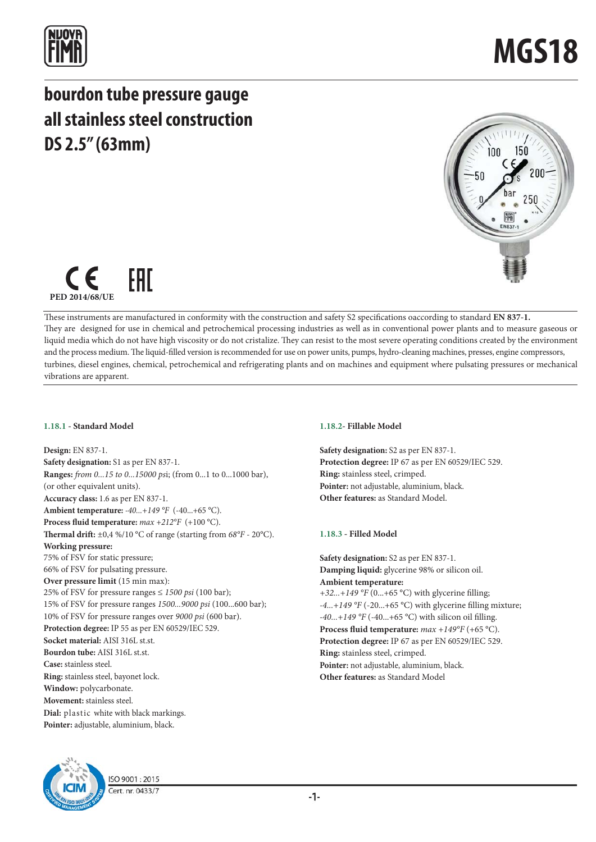

## **bourdon tube pressure gauge all stainless steel construction DS 2.5" (63mm)**





These instruments are manufactured in conformity with the construction and safety S2 specifications oaccording to standard **EN 837-1.** They are designed for use in chemical and petrochemical processing industries as well as in conventional power plants and to measure gaseous or liquid media which do not have high viscosity or do not cristalize. They can resist to the most severe operating conditions created by the environment and the process medium. The liquid-filled version is recommended for use on power units, pumps, hydro-cleaning machines, presses, engine compressors, turbines, diesel engines, chemical, petrochemical and refrigerating plants and on machines and equipment where pulsating pressures or mechanical vibrations are apparent.

### **1.18.1 - Standard Model**

**Design:** EN 837-1. **Safety designation:** S1 as per EN 837-1. **Ranges:** *from 0...15 to 0...15000 ps*i; (from 0...1 to 0...1000 bar), (or other equivalent units). **Accuracy class:** 1.6 as per EN 837-1. **Ambient temperature:** *-40...+149 °F* (-40...+65 °C). **Process fluid temperature:** *max +212°F* (+100 °C). **Thermal drift:** ±0,4 %/10 °C of range (starting from *68°F* - 20°C). **Working pressure:**  75% of FSV for static pressure; 66% of FSV for pulsating pressure. **Over pressure limit** (15 min max): 25% of FSV for pressure ranges ≤ *1500 psi* (100 bar); 15% of FSV for pressure ranges *1500...9000 psi* (100...600 bar); 10% of FSV for pressure ranges over *9000 psi* (600 bar). **Protection degree:** IP 55 as per EN 60529/IEC 529. **Socket material:** AISI 316L st.st. **Bourdon tube:** AISI 316L st.st. **Case:** stainless steel. **Ring:** stainless steel, bayonet lock. **Window:** polycarbonate. **Movement:** stainless steel. **Dial:** plastic white with black markings. **Pointer:** adjustable, aluminium, black.



**Safety designation:** S2 as per EN 837-1. **Protection degree:** IP 67 as per EN 60529/IEC 529. **Ring:** stainless steel, crimped. **Pointer:** not adjustable, aluminium, black. **Other features:** as Standard Model.

## **1.18.3 - Filled Model**

**Safety designation:** S2 as per EN 837-1. **Damping liquid:** glycerine 98% or silicon oil. **Ambient temperature:**

*+32...+149 °F* (0...+65 °C) with glycerine filling; *-4...+149 °F* (-20...+65 °C) with glycerine filling mixture; *-40...+149 °F* (-40...+65 °C) with silicon oil filling. **Process fluid temperature:** *max +149°F* (+65 °C). **Protection degree:** IP 67 as per EN 60529/IEC 529. **Ring:** stainless steel, crimped. **Pointer:** not adjustable, aluminium, black. **Other features:** as Standard Model



ISO 9001:2015 Cert. nr. 0433/7